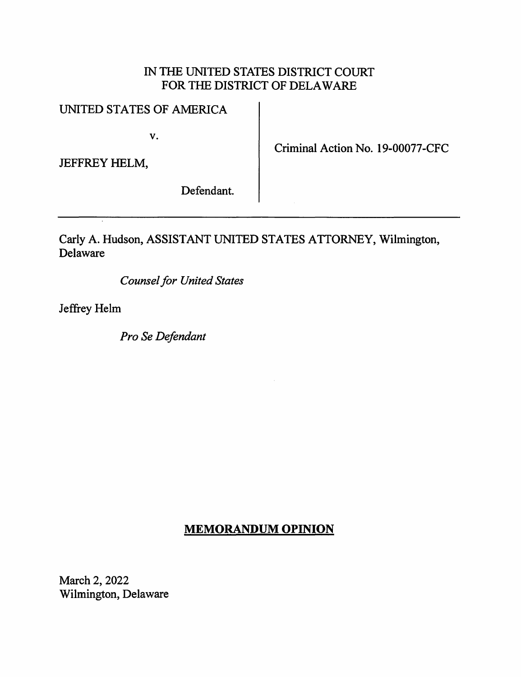## IN THE UNITED STATES DISTRICT COURT FOR THE DISTRICT OF DELA WARE

## UNITED STATES OF AMERICA

v.

JEFFREY HELM,

Criminal Action No. 19-00077-CFC

Defendant.

Carly A. Hudson, ASSISTANT UNITED STATES ATTORNEY, Wilmington, Delaware

*Counsel for United States* 

Jeffrey Helm

*Pro Se Defendant* 

# **MEMORANDUM OPINION**

March 2, 2022 Wilmington, Delaware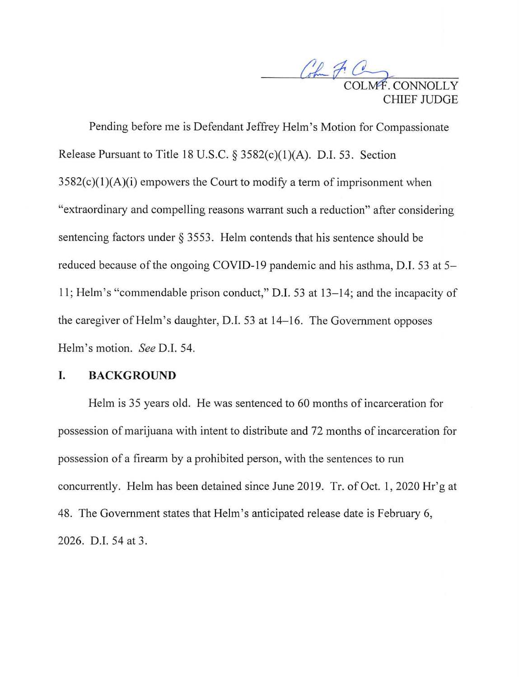Com POINT HIEF II IDGE.

Pending before me is Defendant Jeffrey Helm's Motion for Compassionate Release Pursuant to Title 18 U.S.C. § 3582(c)(1)(A). D.I. 53. Section  $3582(c)(1)(A)(i)$  empowers the Court to modify a term of imprisonment when "extraordinary and compelling reasons warrant such a reduction" after considering sentencing factors under  $\S$  3553. Helm contends that his sentence should be reduced because of the ongoing COVID-19 pandemic and his asthma, D.I. 53 at 5- 11; Helm's "commendable prison conduct," **D.I.** 53 at 13-14; and the incapacity of the caregiver of Helm's daughter, D.I. 53 at 14-16. The Government opposes Helm's motion. *See* D.I. 54.

### **I. BACKGROUND**

Helm is 35 years old. He was sentenced to 60 months of incarceration for possession of marijuana with intent to distribute and 72 months of incarceration for possession of a firearm by a prohibited person, with the sentences to run concurrently. Helm has been detained since June 2019. Tr. of Oct. **1,** 2020 Hr'g at 48. The Government states that Helm's anticipated release date is February 6, 2026. D.I. 54 at 3.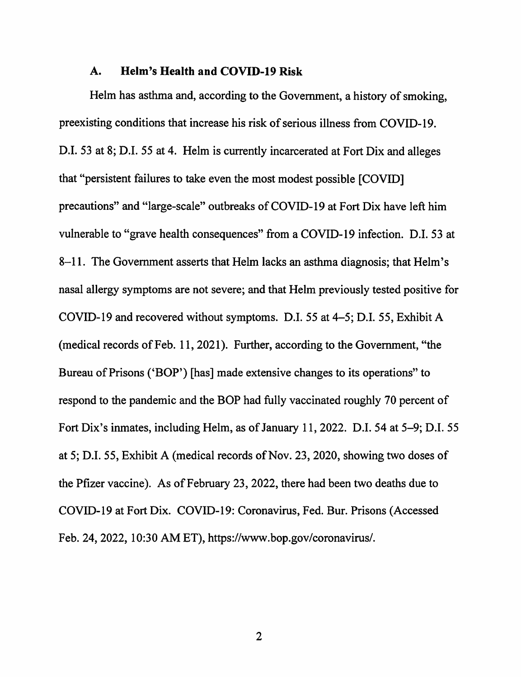### **A. Helm's Health and COVID-19 Risk**

Helm has asthma and, according to the Government, a history of smoking, preexisting conditions that increase his risk of serious illness from COVID-19. D.I. 53 at 8; D.I. 55 at 4. Helm is currently incarcerated at Fort Dix and alleges that "persistent failures to take even the most modest possible [COVID] precautions" and "large-scale" outbreaks of COVID-19 at Fort Dix have left him vulnerable to "grave health consequences" from a COVID-19 infection. D.I. 53 at 8-11. The Government asserts that Helm lacks an asthma diagnosis; that Helm's nasal allergy symptoms are not severe; and that Helm previously tested positive for COVID-19 and recovered without symptoms. D.I. 55 at 4-5; D.I. 55, Exhibit A (medical records of Feb. 11, 2021). Further, according to the Government, "the Bureau of Prisons ('BOP') [has] made extensive changes to its operations" to respond to the pandemic and the BOP had fully vaccinated roughly 70 percent of Fort Dix's inmates, including Helm, as of January 11, 2022. D.I. 54 at 5-9; D.I. 55 at 5; D.I. 55, Exhibit A (medical records of Nov. 23, 2020, showing two doses of the Pfizer vaccine). As of February 23, 2022, there had been two deaths due to COVID-19 at Fort Dix. COVID-19: Coronavirus, Fed. Bur. Prisons (Accessed Feb. 24, 2022, 10:30 AM ET), https://www.bop.gov/coronavirus/.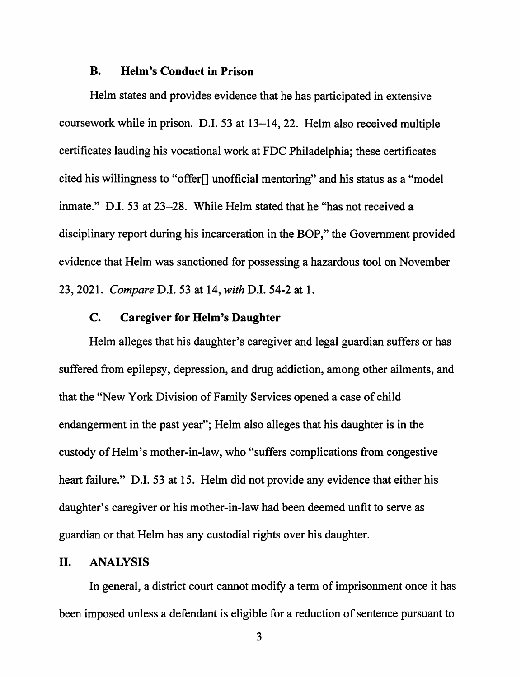#### **B. Helm's Conduct in Prison**

Helm states and provides evidence that he has participated in extensive coursework while in prison. D.I. 53 at 13-14, 22. Helm also received multiple certificates lauding his vocational work at FDC Philadelphia; these certificates cited his willingness to "offer[] unofficial mentoring" and his status as a "model inmate." D.I. 53 at 23-28. While Helm stated that he "has not received a disciplinary report during his incarceration in the BOP," the Government provided evidence that Helm was sanctioned for possessing a hazardous tool on November 23, 2021. *Compare* D.I. 53 at 14, *with* D.I. 54-2 at 1.

### **C. Caregiver for Helm's Daughter**

Helm alleges that his daughter's caregiver and legal guardian suffers or has suffered from epilepsy, depression, and drug addiction, among other ailments, and that the "New York Division of Family Services opened a case of child endangerment in the past year"; Helm also alleges that his daughter is in the custody of Helm's mother-in-law, who "suffers complications from congestive heart failure." D.I. 53 at 15. Helm did not provide any evidence that either his daughter's caregiver or his mother-in-law had been deemed unfit to serve as guardian or that Helm has any custodial rights over his daughter.

#### II. **ANALYSIS**

In general, a district court cannot modify a term of imprisonment once it has been imposed unless a defendant is eligible for a reduction of sentence pursuant to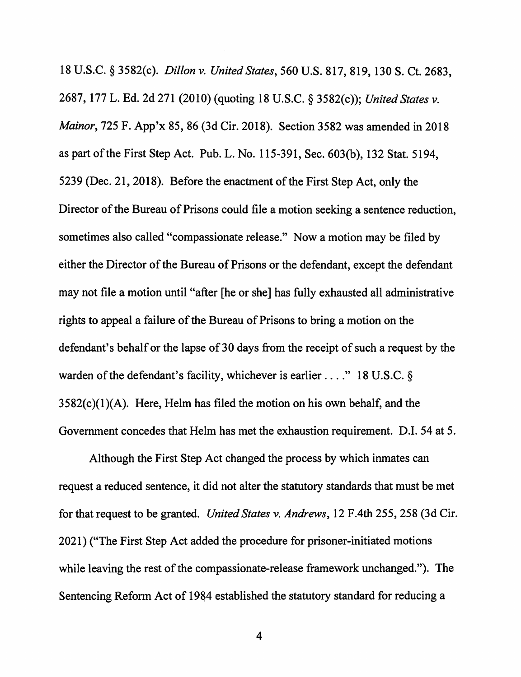18 U.S.C. § 3582(c). *Dillon v. United States,* 560 U.S. 817, 819, 130 S. Ct. 2683, 2687, 177 L. Ed. 2d 271 (2010) (quoting 18 U.S.C. § 3582(c)); *United States v. Mainor,* 725 F. App'x 85, 86 (3d Cir. 2018). Section 3582 was amended in 2018 as part of the First Step Act. Pub. L. No. 115-391, Sec. 603(b), 132 Stat. 5194, 5239 (Dec. 21, 2018). Before the enactment of the First Step Act, only the Director of the Bureau of Prisons could file a motion seeking a sentence reduction, sometimes also called "compassionate release." Now a motion may be filed by either the Director of the Bureau of Prisons or the defendant, except the defendant may not file a motion until "after [he or she] has fully exhausted all administrative rights to appeal a failure of the Bureau of Prisons to bring a motion on the defendant's behalf or the lapse of 30 days from the receipt of such a request by the warden of the defendant's facility, whichever is earlier ...." 18 U.S.C. §  $3582(c)(1)(A)$ . Here, Helm has filed the motion on his own behalf, and the Government concedes that Helm has met the exhaustion requirement. D.I. 54 at 5.

Although the First Step Act changed the process by which inmates can request a reduced sentence, it did not alter the statutory standards that must be met for that request to be granted. *United States v. Andrews,* 12 F.4th 255,258 (3d Cir. 2021) ("The First Step Act added the procedure for prisoner-initiated motions while leaving the rest of the compassionate-release framework unchanged."). The Sentencing Reform Act of 1984 established the statutory standard for reducing a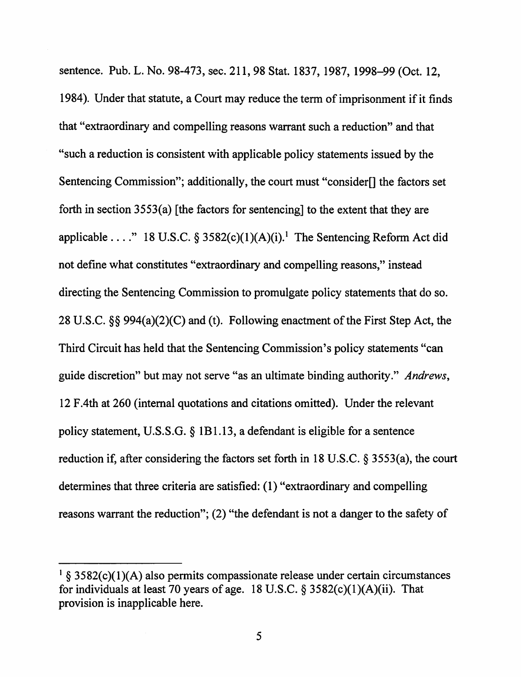sentence. Pub. L. No. 98-473, sec. 211, 98 Stat. 1837, 1987, 1998-99 (Oct. 12, 1984 ). Under that statute, a Court may reduce the term of imprisonment if it finds that "extraordinary and compelling reasons warrant such a reduction" and that "such a reduction is consistent with applicable policy statements issued by the Sentencing Commission"; additionally, the court must "consider[] the factors set forth in section  $3553(a)$  [the factors for sentencing] to the extent that they are applicable ...." 18 U.S.C. § 3582(c)(1)(A)(i).<sup>1</sup> The Sentencing Reform Act did not define what constitutes "extraordinary and compelling reasons," instead directing the Sentencing Commission to promulgate policy statements that do so. 28 U.S.C. §§ 994(a)(2)(C) and (t). Following enactment of the First Step Act, the Third Circuit has held that the Sentencing Commission's policy statements "can guide discretion" but may not serve "as an ultimate binding authority." *Andrews,*  12 F .4th at 260 (internal quotations and citations omitted). Under the relevant policy statement, U.S.S.G. § 1B1.13, a defendant is eligible for a sentence reduction if, after considering the factors set forth in 18 U.S.C. § 3553(a), the court determines that three criteria are satisfied: ( 1) "extraordinary and compelling reasons warrant the reduction"; (2) "the defendant is not a danger to the safety of

 $1$  § 3582(c)(1)(A) also permits compassionate release under certain circumstances for individuals at least 70 years of age. 18 U.S.C.  $\S 3582(c)(1)(A)(ii)$ . That provision is inapplicable here.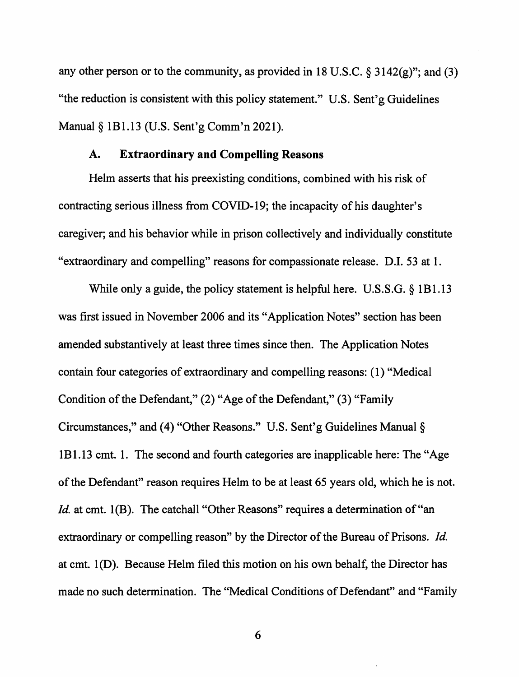any other person or to the community, as provided in 18 U.S.C.  $\S 3142(g)$ "; and (3) "the reduction is consistent with this policy statement." U.S. Sent'g Guidelines Manual§ lBI.13 (U.S. Sent'g Comm'n 2021).

### **A. Extraordinary and Compelling Reasons**

Helm asserts that his preexisting conditions, combined with his risk of contracting serious illness from COVID-19; the incapacity of his daughter's caregiver; and his behavior while in prison collectively and individually constitute "extraordinary and compelling" reasons for compassionate release. D.I. 53 at 1.

While only a guide, the policy statement is helpful here. U.S.S.G. § 1B1.13 was first issued in November 2006 and its "Application Notes" section has been amended substantively at least three times since then. The Application Notes contain four categories of extraordinary and compelling reasons: ( 1) "Medical Condition of the Defendant," (2) "Age of the Defendant," (3) "Family Circumstances," and (4) "Other Reasons." U.S. Sent'g Guidelines Manual§ lBI.13 cmt. I. The second and fourth categories are inapplicable here: The "Age of the Defendant" reason requires Helm to be at least 65 years old, which he is not. *Id.* at cmt. 1(B). The catchall "Other Reasons" requires a determination of "an extraordinary or compelling reason" by the Director of the Bureau of Prisons. *Id.*  at cmt. l(D). Because Helm filed this motion on his own behalf, the Director has made no such determination. The "Medical Conditions of Defendant" and "Family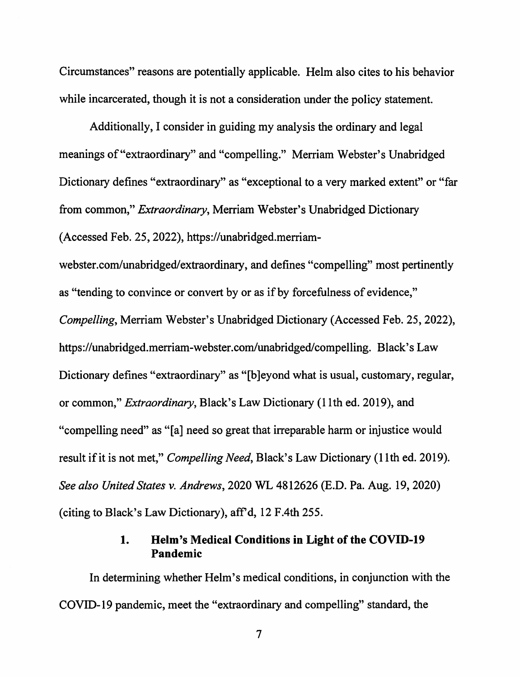Circumstances" reasons are potentially applicable. Helm also cites to his behavior while incarcerated, though it is not a consideration under the policy statement.

Additionally, I consider in guiding my analysis the ordinary and legal meanings of"extraordinary" and "compelling." Merriam Webster's Unabridged Dictionary defines "extraordinary" as "exceptional to a very marked extent" or "far from common," *Extraordinary,* Merriam Webster's Unabridged Dictionary (Accessed Feb. 25, 2022), https://unabridged.merriam-

webster.com/unabridged/extraordinary, and defines "compelling" most pertinently as "tending to convince or convert by or as if by forcefulness of evidence," *Compelling,* Merriam Webster's Unabridged Dictionary (Accessed Feb. 25, 2022), https://unabridged.merriam-webster.com/unabridged/compelling. Black's Law Dictionary defines "extraordinary" as "[b]eyond what is usual, customary, regular, or common," *Extraordinary,* Black's Law Dictionary (11th ed. 2019), and

"compelling need" as "[a] need so great that irreparable harm or injustice would

result if it is not met," *Compelling Need,* Black's Law Dictionary (11th ed. 2019).

*See also United States v. Andrews,* 2020 WL 4812626 (E.D. Pa. Aug. 19, 2020)

(citing to Black's Law Dictionary), aff'd, 12 F.4th 255.

## **1. Helm's Medical Conditions in Light of the COVID-19 Pandemic**

In determining whether Helm's medical conditions, in conjunction with the COVID-19 pandemic, meet the "extraordinary and compelling" standard, the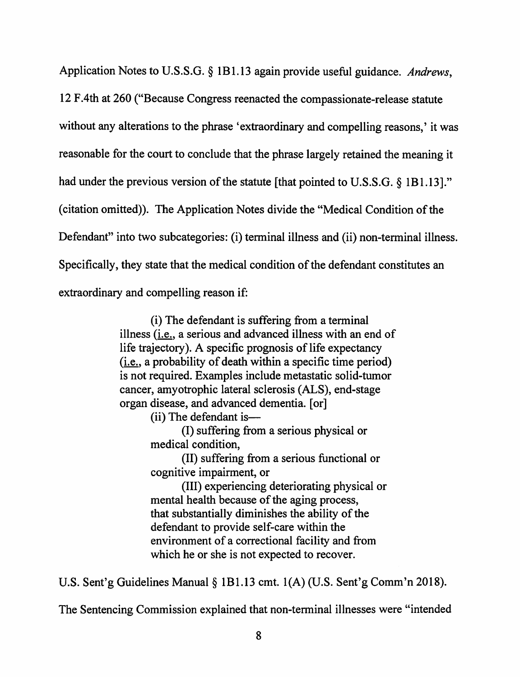Application Notes to U.S.S.G. § 1B1.13 again provide useful guidance. *Andrews,*  12 F .4th at 260 ("Because Congress reenacted the compassionate-release statute without any alterations to the phrase 'extraordinary and compelling reasons,' it was reasonable for the court to conclude that the phrase largely retained the meaning it had under the previous version of the statute [that pointed to U.S.S.G. § 1B1.13]." ( citation omitted)). The Application Notes divide the "Medical Condition of the Defendant" into two subcategories: (i) terminal illness and (ii) non-terminal illness. Specifically, they state that the medical condition of the defendant constitutes an extraordinary and compelling reason if:

> (i) The defendant is suffering from a terminal illness (i.e., a serious and advanced illness with an end of life trajectory). A specific prognosis of life expectancy (i.e., a probability of death within a specific time period) is not required. Examples include metastatic solid-tumor cancer, amyotrophic lateral sclerosis (ALS), end-stage organ disease, and advanced dementia. [or]

> > $(ii)$  The defendant is—

(1) suffering from a serious physical or medical condition,

(II) suffering from a serious functional or cognitive impairment, or

(III) experiencing deteriorating physical or mental health because of the aging process, that substantially diminishes the ability of the defendant to provide self-care within the environment of a correctional facility and from which he or she is not expected to recover.

U.S. Sent'g Guidelines Manual§ 1B1.13 cmt. l(A) (U.S. Sent'g Comm'n 2018).

The Sentencing Commission explained that non-terminal illnesses were "intended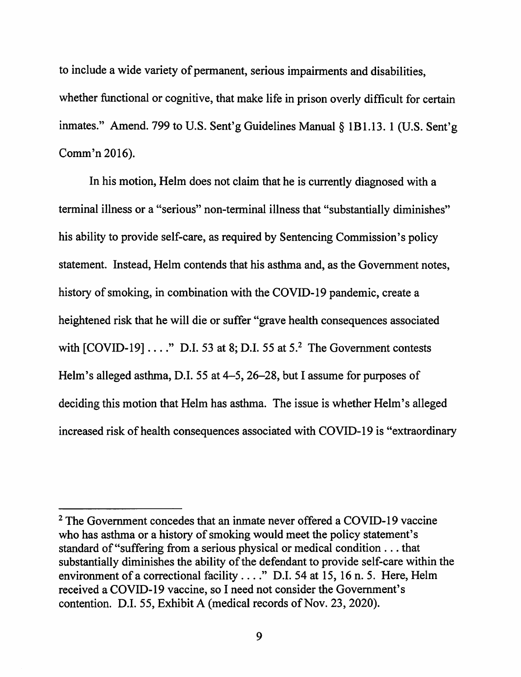to include a wide variety of permanent, serious impairments and disabilities, whether functional or cognitive, that make life in prison overly difficult for certain inmates." Amend. 799 to U.S. Sent'g Guidelines Manual§ 1B1.13. 1 (U.S. Sent'g Comm'n 2016).

In his motion, Helm does not claim that he is currently diagnosed with a terminal illness or a "serious" non-terminal illness that "substantially diminishes" his ability to provide self-care, as required by Sentencing Commission's policy statement. Instead, Helm contends that his asthma and, as the Government notes, history of smoking, in combination with the COVID-19 pandemic, create a heightened risk that he will die or suffer "grave health consequences associated with  $[COVID-19] \ldots$ ." D.I. 53 at 8; D.I. 55 at 5.<sup>2</sup> The Government contests Helm's alleged asthma, D.I. 55 at 4–5, 26–28, but I assume for purposes of deciding this motion that Helm has asthma. The issue is whether Helm's alleged increased risk of health consequences associated with COVID-19 is "extraordinary

<sup>&</sup>lt;sup>2</sup> The Government concedes that an inmate never offered a COVID-19 vaccine who has asthma or a history of smoking would meet the policy statement's standard of "suffering from a serious physical or medical condition ... that substantially diminishes the ability of the defendant to provide self-care within the environment of a correctional facility .... " D.I. 54 at 15, 16 n. 5. Here, Helm received a COVID-19 vaccine, so I need not consider the Government's contention. D.I. 55, Exhibit A (medical records of Nov. 23, 2020).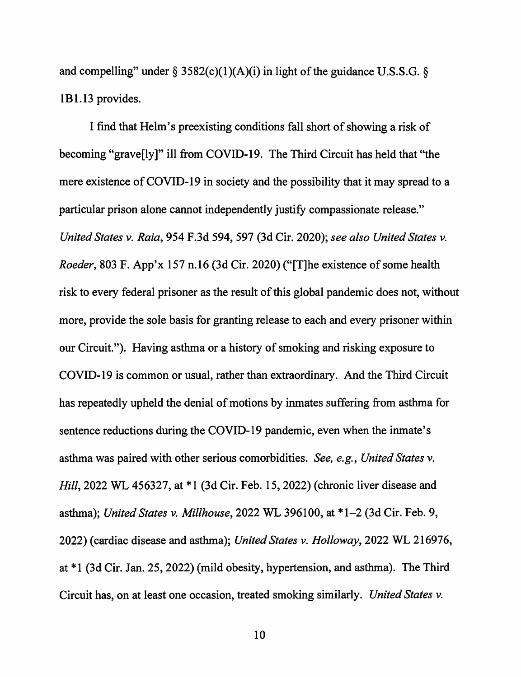and compelling" under  $\S 3582(c)(1)(A)(i)$  in light of the guidance U.S.S.G.  $\S$ 1B1.13 provides.

I find that Helm's preexisting conditions fall short of showing a risk of becoming "grave[ly ]" ill from COVID-19. The Third Circuit has held that "the mere existence of COVID-19 in society and the possibility that it may spread to a particular prison alone cannot independently justify compassionate release." *United States v. Raia,* 954 F .3d 594, 597 (3d Cir. 2020); *see also United States v. Roeder,* 803 F. App'x 157 n.16 (3d Cir. 2020) ("[T]he existence of some health risk to every federal prisoner as the result of this global pandemic does not, without more, provide the sole basis for granting release to each and every prisoner within our Circuit."). Having asthma or a history of smoking and risking exposure to COVID-19 is common or usual, rather than extraordinary. And the Third Circuit has repeatedly upheld the denial of motions by inmates suffering from asthma for sentence reductions during the COVID-19 pandemic, even when the inmate's asthma was paired with other serious comorbidities. *See, e.g., United States v. Hill, 2022 WL 456327, at \*1 (3d Cir. Feb. 15, 2022) (chronic liver disease and* asthma); *United States v. Millhouse,* 2022 WL 396100, at \*1-2 (3d Cir. Feb. 9, 2022) (cardiac disease and asthma); *United States v. Holloway,* 2022 WL 216976, at \*1 (3d Cir. Jan. 25, 2022) (mild obesity, hypertension, and asthma). The Third Circuit has, on at least one occasion, treated smoking similarly. *United States v.*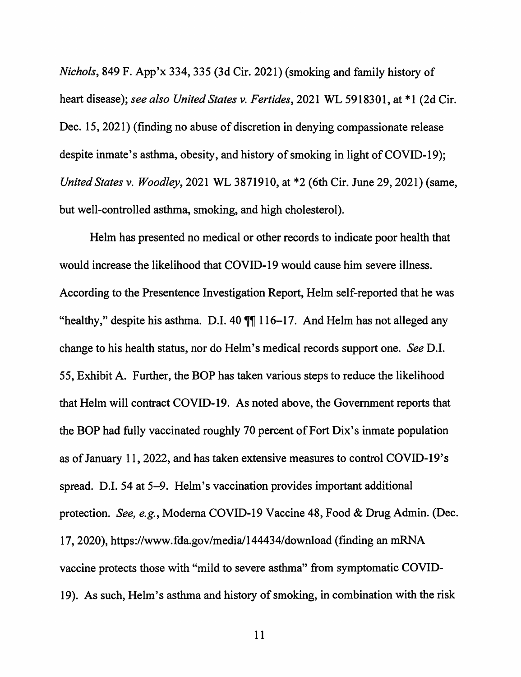*Nichols,* 849 F. App'x 334,335 (3d Cir. 2021) (smoking and family history of heart disease); *see also United States v. Fertides,* 2021 WL 5918301, at \*1 (2d Cir. Dec. 15, 2021) (finding no abuse of discretion in denying compassionate release despite inmate's asthma, obesity, and history of smoking in light of COVID-19); *United States v. Woodley,* 2021 WL 3871910, at \*2 (6th Cir. June 29, 2021) (same, but well-controlled asthma, smoking, and high cholesterol).

Helm has presented no medical or other records to indicate poor health that would increase the likelihood that COVID-19 would cause him severe illness. According to the Presentence Investigation Report, Helm self-reported that he was "healthy," despite his asthma. D.I. 40  $\sqrt{\|}$  116-17. And Helm has not alleged any change to his health status, nor do Helm's medical records support one. *See* D.I. 55, Exhibit A. Further, the BOP has taken various steps to reduce the likelihood that Helm will contract COVID-19. As noted above, the Government reports that the BOP had fully vaccinated roughly 70 percent of Fort Dix's inmate population as of January 11, 2022, and has taken extensive measures to control COVID-19's spread. D.I. 54 at 5-9. Helm's vaccination provides important additional protection. *See, e.g.,* Modema COVID-19 Vaccine 48, Food & Drug Admin. (Dec. 17, 2020), https://www.fda.gov/media/144434/download (finding an mRNA vaccine protects those with "mild to severe asthma" from symptomatic COVID-19). As such, Helm's asthma and history of smoking, in combination with the risk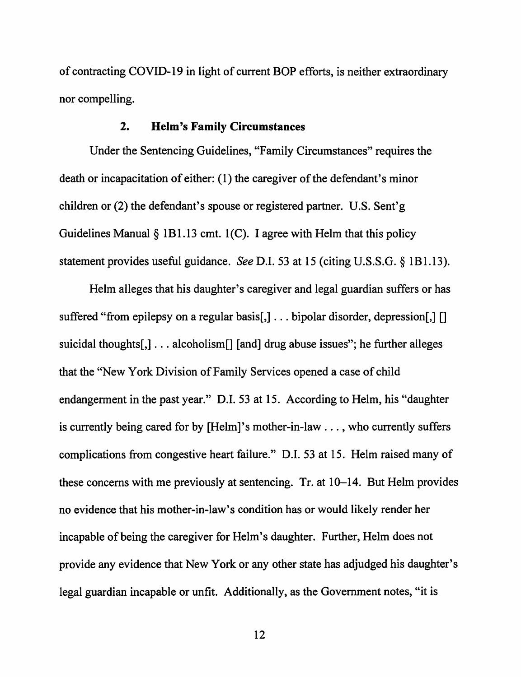of contracting COVID-19 in light of current BOP efforts, is neither extraordinary nor compelling.

### **2. Helm's Family Circumstances**

Under the Sentencing Guidelines, "Family Circumstances" requires the death or incapacitation of either: (1) the caregiver of the defendant's minor children or (2) the defendant's spouse or registered partner. U.S. Sent'g Guidelines Manual  $\S$  1B1.13 cmt. 1(C). I agree with Helm that this policy statement provides useful guidance. *See* D.I. 53 at 15 (citing U.S.S.G. § lBl.13).

Helm alleges that his daughter's caregiver and legal guardian suffers or has suffered "from epilepsy on a regular basis[,] ... bipolar disorder, depression[,] [] suicidal thoughts[,] ... alcoholism[] [and] drug abuse issues"; he further alleges that the "New York Division of Family Services opened a case of child endangerment in the past year." D.I. 53 at 15. According to Helm, his "daughter is currently being cared for by [Helm]'s mother-in-law ... , who currently suffers complications from congestive heart failure." D.I. 53 at 15. Helm raised many of these concerns with me previously at sentencing. Tr. at 10-14. But Helm provides no evidence that his mother-in-law's condition has or would likely render her incapable of being the caregiver for Helm's daughter. Further, Helm does not provide any evidence that New York or any other state has adjudged his daughter's legal guardian incapable or unfit. Additionally, as the Government notes, "it is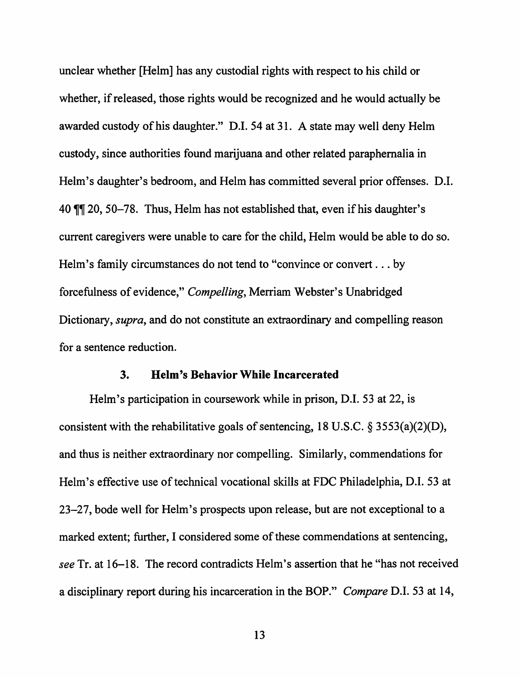unclear whether [Helm] has any custodial rights with respect to his child or whether, if released, those rights would be recognized and he would actually be awarded custody of his daughter." D.I. 54 at 31. A state may well deny Helm custody, since authorities found marijuana and other related paraphernalia in Helm's daughter's bedroom, and Helm has committed several prior offenses. D.I. 40  $\mathbb{I}$  20, 50-78. Thus, Helm has not established that, even if his daughter's current caregivers were unable to care for the child, Helm would be able to do so. Helm's family circumstances do not tend to "convince or convert ... by forcefulness of evidence," *Compelling,* Merriam Webster's Unabridged Dictionary, *supra,* and do not constitute an extraordinary and compelling reason for a sentence reduction.

#### **3. Helm's Behavior While Incarcerated**

Helm's participation in coursework while in prison, D.I. 53 at 22, is consistent with the rehabilitative goals of sentencing, 18 U.S.C. § 3553(a)(2)(D), and thus is neither extraordinary nor compelling. Similarly, commendations for Helm's effective use of technical vocational skills at FDC Philadelphia, D.I. 53 at 23-27, bode well for Helm's prospects upon release, but are not exceptional to a marked extent; further, I considered some of these commendations at sentencing, *see* Tr. at 16-18. The record contradicts Helm's assertion that he "has not received a disciplinary report during his incarceration in the BOP." *Compare* D.I. 53 at 14,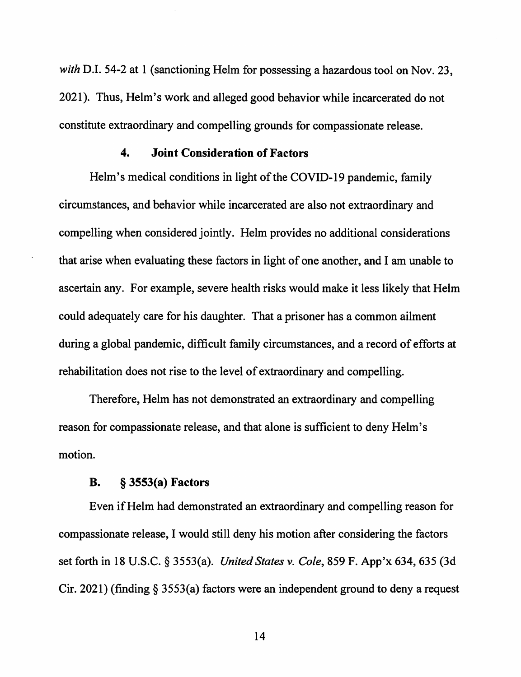*with* D.I. 54-2 at 1 (sanctioning Helm for possessing a hazardous tool on Nov. 23, 2021 ). Thus, Helm's work and alleged good behavior while incarcerated do not constitute extraordinary and compelling grounds for compassionate release.

### **4. Joint Consideration of Factors**

Helm's medical conditions in light of the COVID-19 pandemic, family circumstances, and behavior while incarcerated are also not extraordinary and compelling when considered jointly. Helm provides no additional considerations that arise when evaluating these factors in light of one another, and I am unable to ascertain any. For example, severe health risks would make it less likely that Helm could adequately care for his daughter. That a prisoner has a common ailment during a global pandemic, difficult family circumstances, and a record of efforts at rehabilitation does not rise to the level of extraordinary and compelling.

Therefore, Helm has not demonstrated an extraordinary and compelling reason for compassionate release, and that alone is sufficient to deny Helm's motion.

#### **B.** § **3553(a) Factors**

Even if Helm had demonstrated an extraordinary and compelling reason for compassionate release, I would still deny his motion after considering the factors set forth in 18 U.S.C. § 3553(a). *United States v. Cole,* 859 F. App'x 634,635 (3d Cir. 2021) (finding§ 3553(a) factors were an independent ground to deny a request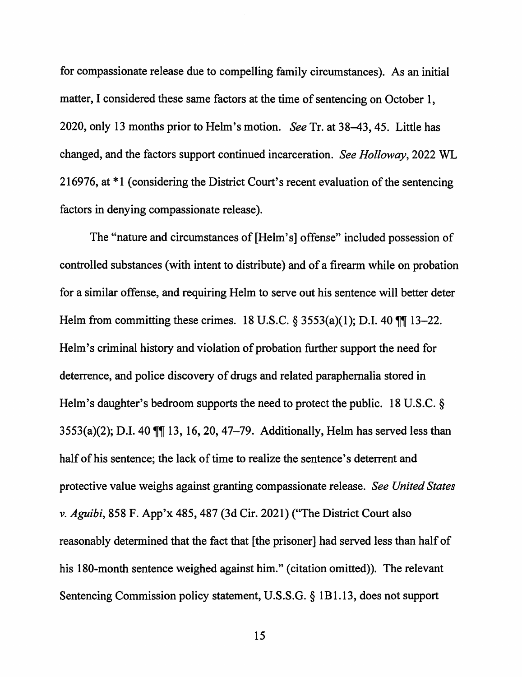for compassionate release due to compelling family circumstances). As an initial matter, I considered these same factors at the time of sentencing on October 1, 2020, only 13 months prior to Helm's motion. *See* Tr. at 38-43, 45. Little has changed, and the factors support continued incarceration. *See Holloway,* 2022 WL 216976, at \*1 (considering the District Court's recent evaluation of the sentencing factors in denying compassionate release).

The "nature and circumstances of [Helm's] offense" included possession of controlled substances ( with intent to distribute) and of a firearm while on probation for a similar offense, and requiring Helm to serve out his sentence will better deter Helm from committing these crimes. 18 U.S.C.  $\S$  3553(a)(1); D.I. 40  $\mathbb{II}$  13-22. Helm's criminal history and violation of probation further support the need for deterrence, and police discovery of drugs and related paraphernalia stored in Helm's daughter's bedroom supports the need to protect the public. 18 U.S.C. §  $3553(a)(2)$ ; D.I. 40  $\mathbb{M}$  13, 16, 20, 47-79. Additionally, Helm has served less than half of his sentence; the lack of time to realize the sentence's deterrent and protective value weighs against granting compassionate release. *See United States v. Aguibi,* 858 F. App'x 485,487 (3d Cir. 2021) {"The District Court also reasonably determined that the fact that [the prisoner] had served less than half of his 180-month sentence weighed against him." (citation omitted)). The relevant Sentencing Commission policy statement, U.S.S.G. § lBl.13, does not support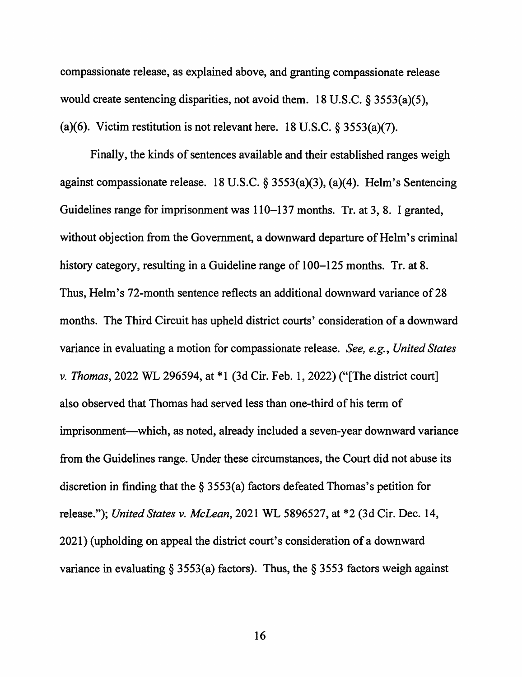compassionate release, as explained above, and granting compassionate release would create sentencing disparities, not avoid them. 18 U.S.C. § 3553(a)(5), (a)(6). Victim restitution is not relevant here. 18 U.S.C.  $\S$  3553(a)(7).

Finally, the kinds of sentences available and their established ranges weigh against compassionate release. 18 U.S.C. § 3553(a)(3), (a)(4). Helm's Sentencing Guidelines range for imprisonment was 110-137 months. Tr. at 3, 8. I granted, without objection from the Government, a downward departure of Helm's criminal history category, resulting in a Guideline range of 100–125 months. Tr. at 8. Thus, Helm's 72-month sentence reflects an additional downward variance of 28 months. The Third Circuit has upheld district courts' consideration of a downward variance in evaluating a motion for compassionate release. *See, e.g., United States v. Thomas,* 2022 WL 296594, at \* I (3d Cir. Feb. 1, 2022) ("[The district court] also observed that Thomas had served less than one-third of his term of imprisonment—which, as noted, already included a seven-year downward variance from the Guidelines range. Under these circumstances, the Court did not abuse its discretion in finding that the  $\S$  3553(a) factors defeated Thomas's petition for release."); *United States v. McLean,* 2021 WL 5896527, at \*2 (3d Cir. Dec. 14, 2021) (upholding on appeal the district court's consideration of a downward variance in evaluating § 3553(a) factors). Thus, the § 3553 factors weigh against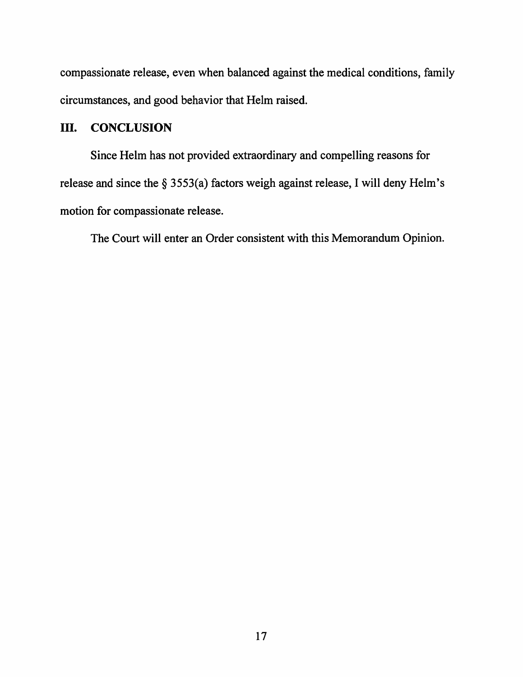compassionate release, even when balanced against the medical conditions, family circumstances, and good behavior that Helm raised.

# III. **CONCLUSION**

Since Helm has not provided extraordinary and compelling reasons for release and since the§ 3553(a) factors weigh against release, I will deny Helm's motion for compassionate release.

The Court will enter an Order consistent with this Memorandum Opinion.